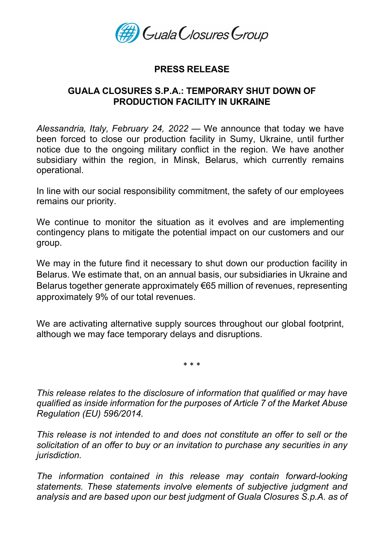

# PRESS RELEASE

# GUALA CLOSURES S.P.A.: TEMPORARY SHUT DOWN OF PRODUCTION FACILITY IN UKRAINE

Alessandria, Italy, February 24, 2022 — We announce that today we have been forced to close our production facility in Sumy, Ukraine, until further notice due to the ongoing military conflict in the region. We have another subsidiary within the region, in Minsk, Belarus, which currently remains operational.

In line with our social responsibility commitment, the safety of our employees remains our priority.

We continue to monitor the situation as it evolves and are implementing contingency plans to mitigate the potential impact on our customers and our group.

We may in the future find it necessary to shut down our production facility in Belarus. We estimate that, on an annual basis, our subsidiaries in Ukraine and Belarus together generate approximately €65 million of revenues, representing approximately 9% of our total revenues.

We are activating alternative supply sources throughout our global footprint, although we may face temporary delays and disruptions.

\* \* \*

This release relates to the disclosure of information that qualified or may have qualified as inside information for the purposes of Article 7 of the Market Abuse Regulation (EU) 596/2014.

This release is not intended to and does not constitute an offer to sell or the solicitation of an offer to buy or an invitation to purchase any securities in any jurisdiction.

The information contained in this release may contain forward-looking statements. These statements involve elements of subjective judgment and analysis and are based upon our best judgment of Guala Closures S.p.A. as of